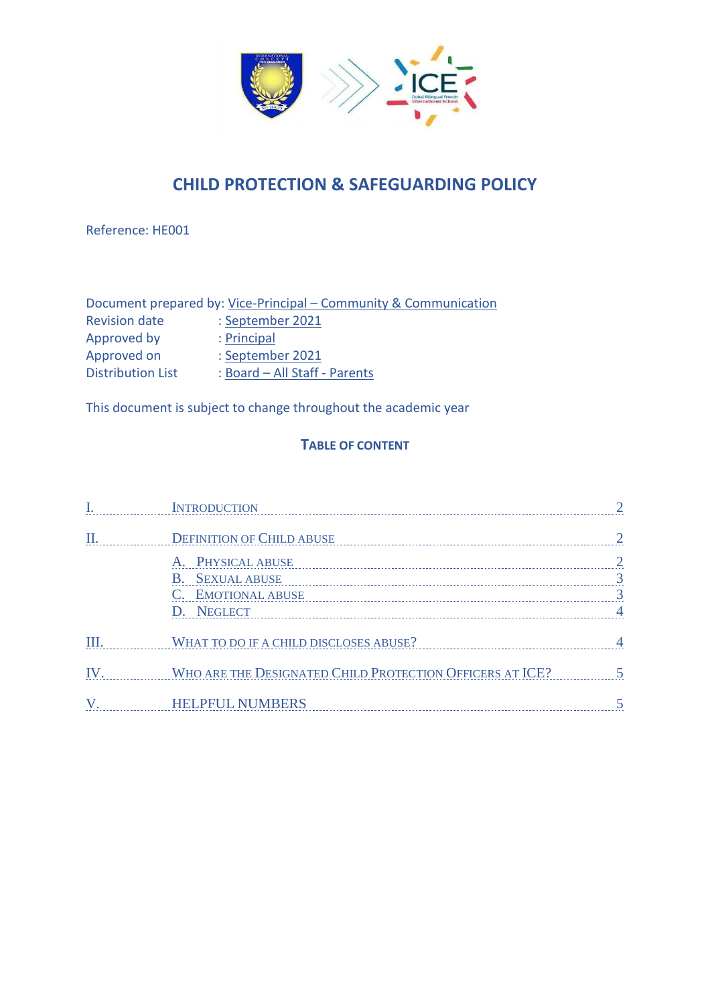

# **CHILD PROTECTION & SAFEGUARDING POLICY**

Reference: HE001

|                          | Document prepared by: Vice-Principal – Community & Communication |
|--------------------------|------------------------------------------------------------------|
| <b>Revision date</b>     | : September 2021                                                 |
| Approved by              | : Principal                                                      |
| Approved on              | : September 2021                                                 |
| <b>Distribution List</b> | : Board - All Staff - Parents                                    |

This document is subject to change throughout the academic year

## **TABLE OF CONTENT**

|     | <b>INTRODUCTION</b>                                      |                |
|-----|----------------------------------------------------------|----------------|
|     | <b>DEFINITION OF CHILD ABUSE</b>                         |                |
|     | A. PHYSICAL ABUSE                                        | 2              |
|     | <b>B.</b> SEXUAL ABUSE                                   | 3              |
|     | C. EMOTIONAL ABUSE                                       | $\overline{3}$ |
|     | D. NEGLECT                                               | $\overline{4}$ |
| Ш.  | WHAT TO DO IF A CHILD DISCLOSES ABUSE?                   | $\overline{4}$ |
| IV. | WHO ARE THE DESIGNATED CHILD PROTECTION OFFICERS AT ICE? |                |
|     | <b>HELPFUL NUMBERS</b>                                   |                |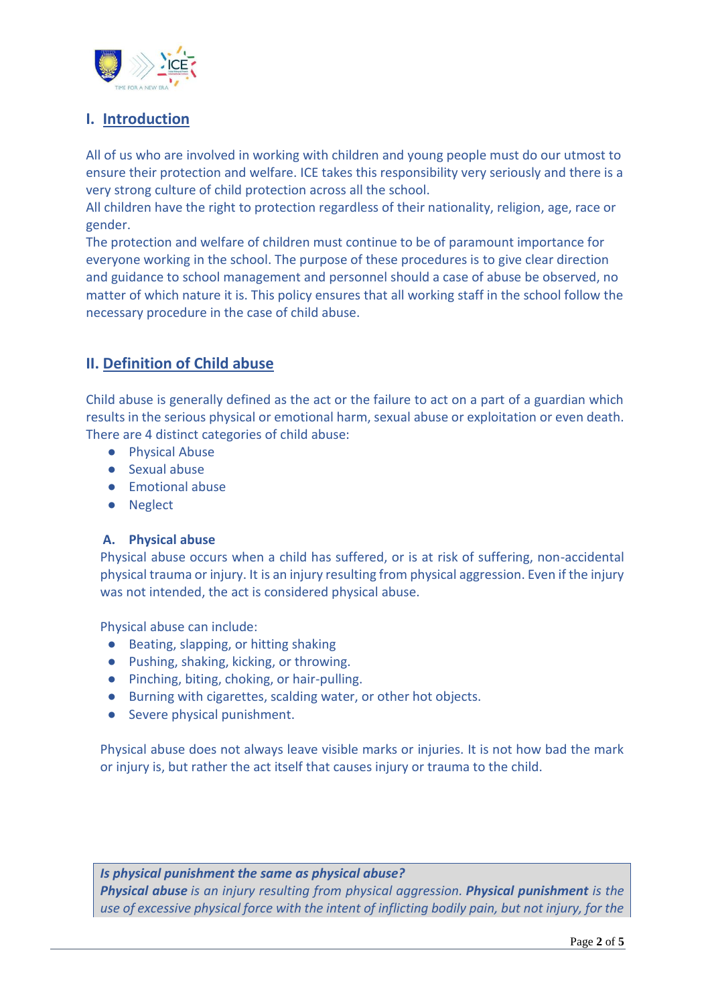

# <span id="page-1-0"></span>**I. Introduction**

All of us who are involved in working with children and young people must do our utmost to ensure their protection and welfare. ICE takes this responsibility very seriously and there is a very strong culture of child protection across all the school.

All children have the right to protection regardless of their nationality, religion, age, race or gender.

The protection and welfare of children must continue to be of paramount importance for everyone working in the school. The purpose of these procedures is to give clear direction and guidance to school management and personnel should a case of abuse be observed, no matter of which nature it is. This policy ensures that all working staff in the school follow the necessary procedure in the case of child abuse.

# <span id="page-1-1"></span>**II. Definition of Child abuse**

Child abuse is generally defined as the act or the failure to act on a part of a guardian which results in the serious physical or emotional harm, sexual abuse or exploitation or even death. There are 4 distinct categories of child abuse:

- Physical Abuse
- Sexual abuse
- Emotional abuse
- Neglect

### <span id="page-1-2"></span>**A. Physical abuse**

Physical abuse occurs when a child has suffered, or is at risk of suffering, non-accidental physical trauma or injury. [It](https://www.healthyplace.com/abuse/child-physical-abuse/what-is-child-physical-abuse-physical-abuse-of-children/) is an injury resulting from physical aggression. Even if the injury was not intended, the act is considered physical abuse.

Physical abuse can include:

- Beating, slapping, or hitting shaking
- Pushing, shaking, kicking, or throwing.
- Pinching, biting, choking, or hair-pulling.
- Burning with cigarettes, scalding water, or other hot objects.
- Severe physical punishment.

Physical abuse does not always leave visible marks or injuries. It is not how bad the mark or injury is, but rather the act itself that causes injury or trauma to the child.

*Is physical punishment the same as physical abuse? Physical abuse is an injury resulting from physical aggression. Physical punishment is the use of excessive physical force with the intent of inflicting bodily pain, but not injury, for the*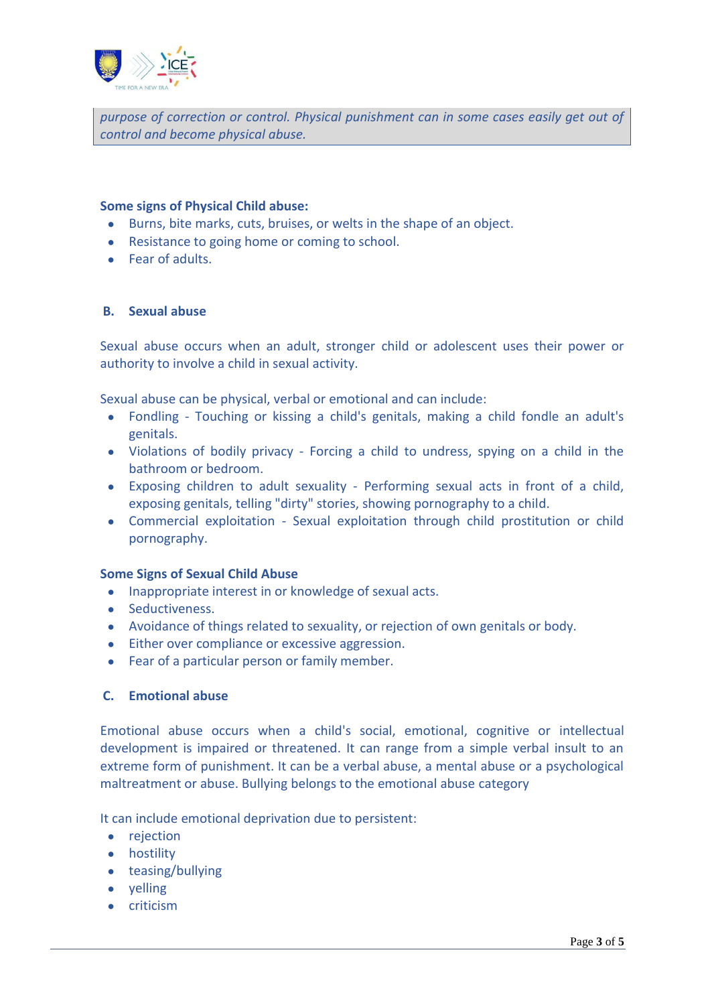

*purpose of correction or control. Physical punishment can in some cases easily get out of control and become physical abuse.*

#### **Some signs of Physical Child abuse:**

- Burns, bite marks, cuts, bruises, or welts in the shape of an object.
- Resistance to going home or coming to school.
- Fear of adults.

#### <span id="page-2-0"></span>**B. Sexual abuse**

Sexual abuse occurs when an adult, stronger child or adolescent uses their power or authority to involve a child in sexual activity.

Sexual abuse can be physical, verbal or emotional and can include:

- Fondling Touching or kissing a child's genitals, making a child fondle an adult's genitals.
- Violations of bodily privacy Forcing a child to undress, spying on a child in the bathroom or bedroom.
- Exposing children to adult sexuality Performing sexual acts in front of a child, exposing genitals, telling "dirty" stories, showing pornography to a child.
- Commercial exploitation Sexual exploitation through child prostitution or child pornography.

#### **Some Signs of Sexual Child Abuse**

- Inappropriate interest in or knowledge of sexual acts.
- Seductiveness.
- Avoidance of things related to sexuality, or rejection of own genitals or body.
- Either over compliance or excessive aggression.
- Fear of a particular person or family member.

#### <span id="page-2-1"></span>**C. Emotional abuse**

Emotional abuse occurs when a child's social, emotional, cognitive or intellectual development is impaired or threatened. It can range from a simple verbal insult to an extreme form of punishment. It can be a verbal abuse, a mental abuse or a psychological maltreatment or abuse. Bullying belongs to the emotional abuse category

It can include emotional deprivation due to persistent:

- rejection
- hostility
- teasing/bullying
- yelling
- criticism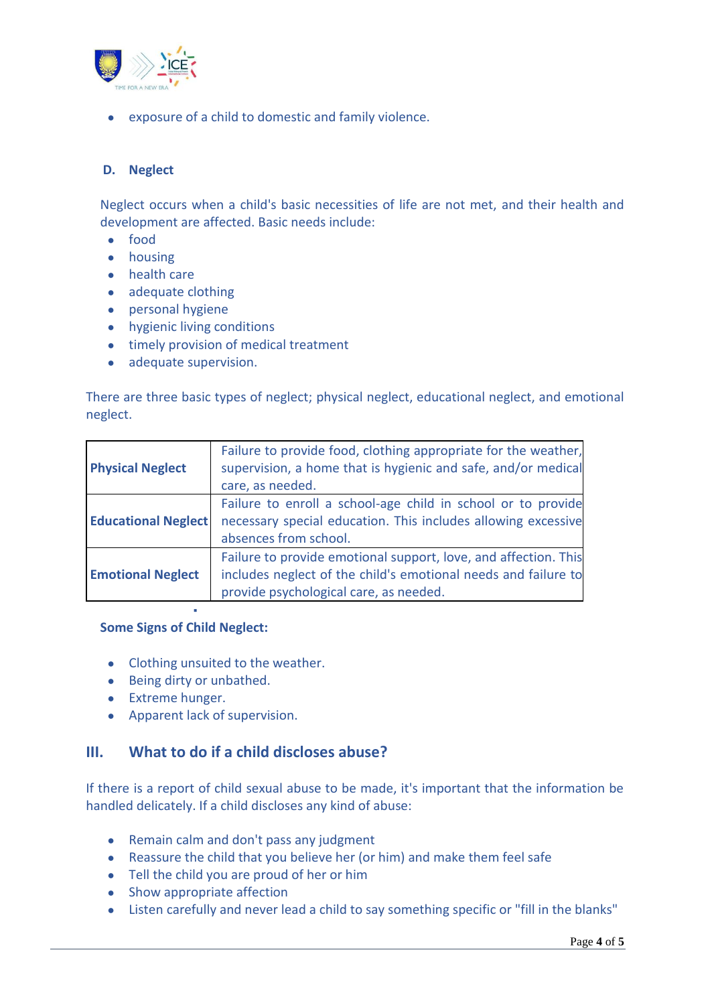

● exposure of a child to domestic and family violence.

#### <span id="page-3-0"></span>**D. Neglect**

Neglect occurs when a child's basic necessities of life are not met, and their health and development are affected. Basic needs include:

- food
- housing
- health care
- adequate clothing
- personal hygiene
- hygienic living conditions
- timely provision of medical treatment
- adequate supervision.

There are three basic types of neglect; physical neglect, educational neglect, and emotional neglect.

| <b>Physical Neglect</b>    | Failure to provide food, clothing appropriate for the weather,<br>supervision, a home that is hygienic and safe, and/or medical<br>care, as needed.                         |
|----------------------------|-----------------------------------------------------------------------------------------------------------------------------------------------------------------------------|
| <b>Educational Neglect</b> | Failure to enroll a school-age child in school or to provide<br>necessary special education. This includes allowing excessive<br>absences from school.                      |
| <b>Emotional Neglect</b>   | Failure to provide emotional support, love, and affection. This<br>includes neglect of the child's emotional needs and failure to<br>provide psychological care, as needed. |

#### **Some Signs of Child Neglect:**

▪

- Clothing unsuited to the weather.
- Being dirty or unbathed.
- Extreme hunger.
- Apparent lack of supervision.

### <span id="page-3-1"></span>**III. What to do if a child discloses abuse?**

If there is a report of child sexual abuse to be made, it's important that the information be handled delicately. If a child discloses any kind of abuse:

- Remain calm and don't pass any judgment
- Reassure the child that you believe her (or him) and make them feel safe
- Tell the child you are proud of her or him
- Show appropriate affection
- Listen carefully and never lead a child to say something specific or "fill in the blanks"